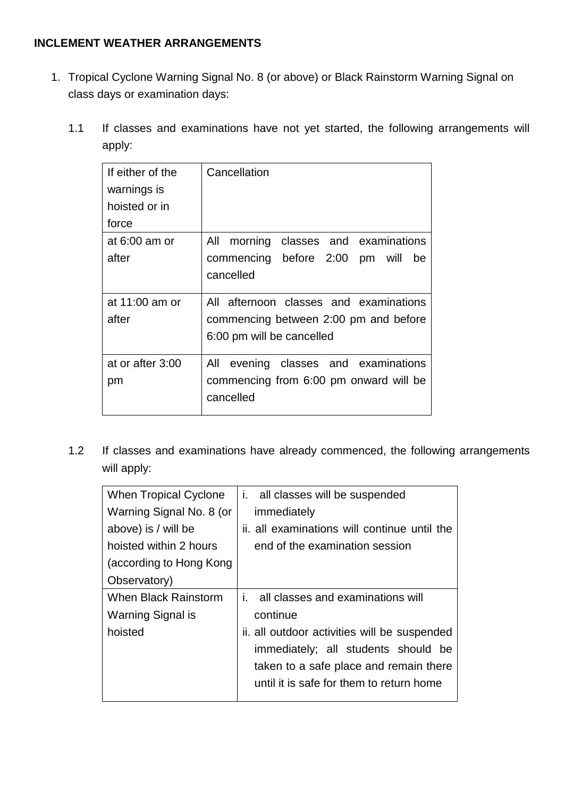## **INCLEMENT WEATHER ARRANGEMENTS**

- 1. Tropical Cyclone Warning Signal No. 8 (or above) or Black Rainstorm Warning Signal on class days or examination days:
	- 1.1 If classes and examinations have not yet started, the following arrangements will apply:

| If either of the<br>warnings is<br>hoisted or in<br>force | Cancellation                                                                                                 |
|-----------------------------------------------------------|--------------------------------------------------------------------------------------------------------------|
| at $6:00$ am or<br>after                                  | All morning classes and examinations<br>commencing before 2:00 pm will<br>be<br>cancelled                    |
| at 11:00 am or<br>after                                   | All afternoon classes and examinations<br>commencing between 2:00 pm and before<br>6:00 pm will be cancelled |
| at or after 3:00<br>pm                                    | All evening classes and examinations<br>commencing from 6:00 pm onward will be<br>cancelled                  |

1.2 If classes and examinations have already commenced, the following arrangements will apply:

| When Tropical Cyclone    | i. all classes will be suspended             |
|--------------------------|----------------------------------------------|
| Warning Signal No. 8 (or | immediately                                  |
| above) is / will be      | ii. all examinations will continue until the |
| hoisted within 2 hours   | end of the examination session               |
| (according to Hong Kong  |                                              |
| Observatory)             |                                              |
| When Black Rainstorm     | all classes and examinations will<br>i.      |
| Warning Signal is        | continue                                     |
| hoisted                  | ii. all outdoor activities will be suspended |
|                          | immediately; all students should be          |
|                          | taken to a safe place and remain there       |
|                          | until it is safe for them to return home     |
|                          |                                              |